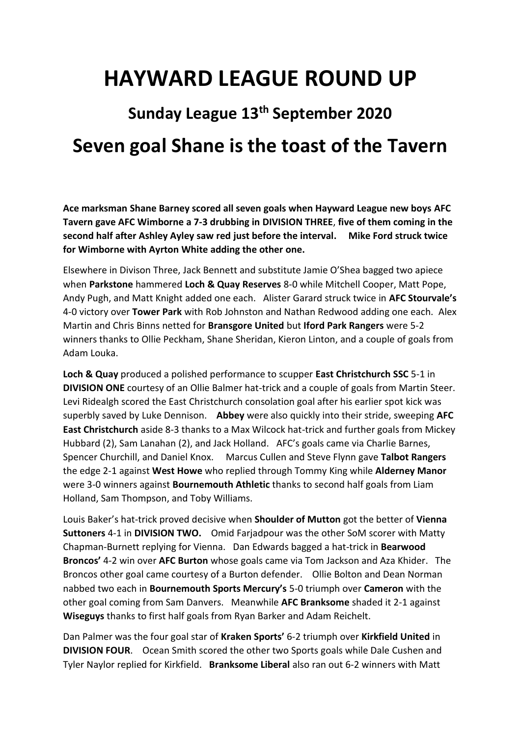## **HAYWARD LEAGUE ROUND UP**

## **Sunday League 13th September 2020 Seven goal Shane is the toast of the Tavern**

**Ace marksman Shane Barney scored all seven goals when Hayward League new boys AFC Tavern gave AFC Wimborne a 7-3 drubbing in DIVISION THREE**, **five of them coming in the second half after Ashley Ayley saw red just before the interval. Mike Ford struck twice for Wimborne with Ayrton White adding the other one.** 

Elsewhere in Divison Three, Jack Bennett and substitute Jamie O'Shea bagged two apiece when **Parkstone** hammered **Loch & Quay Reserves** 8-0 while Mitchell Cooper, Matt Pope, Andy Pugh, and Matt Knight added one each.Alister Garard struck twice in **AFC Stourvale's** 4-0 victory over **Tower Park** with Rob Johnston and Nathan Redwood adding one each.Alex Martin and Chris Binns netted for **Bransgore United** but **Iford Park Rangers** were 5-2 winners thanks to Ollie Peckham, Shane Sheridan, Kieron Linton, and a couple of goals from Adam Louka.

**Loch & Quay** produced a polished performance to scupper **East Christchurch SSC** 5-1 in **DIVISION ONE** courtesy of an Ollie Balmer hat-trick and a couple of goals from Martin Steer. Levi Ridealgh scored the East Christchurch consolation goal after his earlier spot kick was superbly saved by Luke Dennison. **Abbey** were also quickly into their stride, sweeping **AFC East Christchurch** aside 8-3 thanks to a Max Wilcock hat-trick and further goals from Mickey Hubbard (2), Sam Lanahan (2), and Jack Holland. AFC's goals came via Charlie Barnes, Spencer Churchill, and Daniel Knox. Marcus Cullen and Steve Flynn gave **Talbot Rangers** the edge 2-1 against **West Howe** who replied through Tommy King while **Alderney Manor** were 3-0 winners against **Bournemouth Athletic** thanks to second half goals from Liam Holland, Sam Thompson, and Toby Williams.

Louis Baker's hat-trick proved decisive when **Shoulder of Mutton** got the better of **Vienna Suttoners** 4-1 in **DIVISION TWO.** Omid Farjadpour was the other SoM scorer with Matty Chapman-Burnett replying for Vienna. Dan Edwards bagged a hat-trick in **Bearwood Broncos'** 4-2 win over **AFC Burton** whose goals came via Tom Jackson and Aza Khider. The Broncos other goal came courtesy of a Burton defender. Ollie Bolton and Dean Norman nabbed two each in **Bournemouth Sports Mercury's** 5-0 triumph over **Cameron** with the other goal coming from Sam Danvers. Meanwhile **AFC Branksome** shaded it 2-1 against **Wiseguys** thanks to first half goals from Ryan Barker and Adam Reichelt.

Dan Palmer was the four goal star of **Kraken Sports'** 6-2 triumph over **Kirkfield United** in **DIVISION FOUR**. Ocean Smith scored the other two Sports goals while Dale Cushen and Tyler Naylor replied for Kirkfield. **Branksome Liberal** also ran out 6-2 winners with Matt